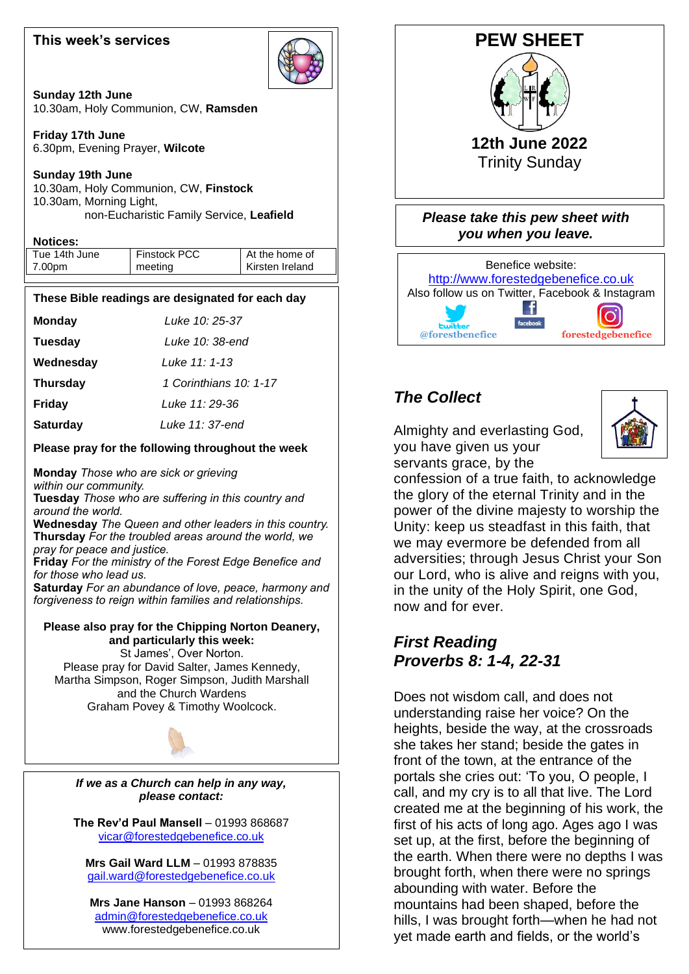### **This week's services**



**Sunday 12th June** 10.30am, Holy Communion, CW, **Ramsden**

**Friday 17th June** 6.30pm, Evening Prayer, **Wilcote**

**Sunday 19th June** 10.30am, Holy Communion, CW, **Finstock** 10.30am, Morning Light, non-Eucharistic Family Service, **Leafield**

#### **Notices:**

| Tue 14th June | <b>Finstock PCC</b> | At the home of  |
|---------------|---------------------|-----------------|
| 7.00pm        | meeting             | Kirsten Ireland |

#### **These Bible readings are designated for each day**

| <b>Monday</b> | Luke 10: 25-37 |
|---------------|----------------|

**Tuesday** *Luke 10: 38-end*

**Wednesday** *Luke 11: 1-13*

**Thursday** *1 Corinthians 10: 1-17*

**Fridav Friday** *Luke 11: 29-36*

**Saturdav Saturday** *Luke 11: 37-end*

#### **Please pray for the following throughout the week**

 **Tuesday** *Those who are suffering in this country and*  **Monday** *Those who are sick or grieving within our community. around the world.* **Wednesday** *The Queen and other leaders in this country.* **Thursday** *For the troubled areas around the world, we pray for peace and justice.* **Friday** *For the ministry of the Forest Edge Benefice and for those who lead us.* **Saturday** *For an abundance of love, peace, harmony and forgiveness to reign within families and relationships.* **Please also pray for the Chipping Norton Deanery, and particularly this week:**

 Please pray for David Salter, James Kennedy,  and the Church Wardens St James', Over Norton. Martha Simpson, Roger Simpson, Judith Marshall Graham Povey & Timothy Woolcock.

*If we as a Church can help in any way, please contact:*

**The Rev'd Paul Mansell** – 01993 868687 [vicar@forestedgebenefice.co.uk](mailto:vicar@forestedgebenefice.co.uk)

**Mrs Gail Ward LLM** – 01993 878835 [gail.ward@forestedgebenefice.co.uk](mailto:gail.ward@forestedgebenefice.co.uk)

**Mrs Jane Hanson** – 01993 868264 [admin@forestedgebenefice.co.uk](mailto:admin@forestedgebenefice.co.uk) www.forestedgebenefice.co.uk



# *The Collect*

Almighty and everlasting God, you have given us your servants grace, by the



confession of a true faith, to acknowledge the glory of the eternal Trinity and in the power of the divine majesty to worship the Unity: keep us steadfast in this faith, that we may evermore be defended from all adversities; through Jesus Christ your Son our Lord, who is alive and reigns with you, in the unity of the Holy Spirit, one God, now and for ever.

### *First Reading Proverbs 8: 1-4, 22-31*

Does not wisdom call, and does not understanding raise her voice? On the heights, beside the way, at the crossroads she takes her stand; beside the gates in front of the town, at the entrance of the portals she cries out: 'To you, O people, I call, and my cry is to all that live. The Lord created me at the beginning of his work, the first of his acts of long ago. Ages ago I was set up, at the first, before the beginning of the earth. When there were no depths I was brought forth, when there were no springs abounding with water. Before the mountains had been shaped, before the hills, I was brought forth—when he had not yet made earth and fields, or the world's